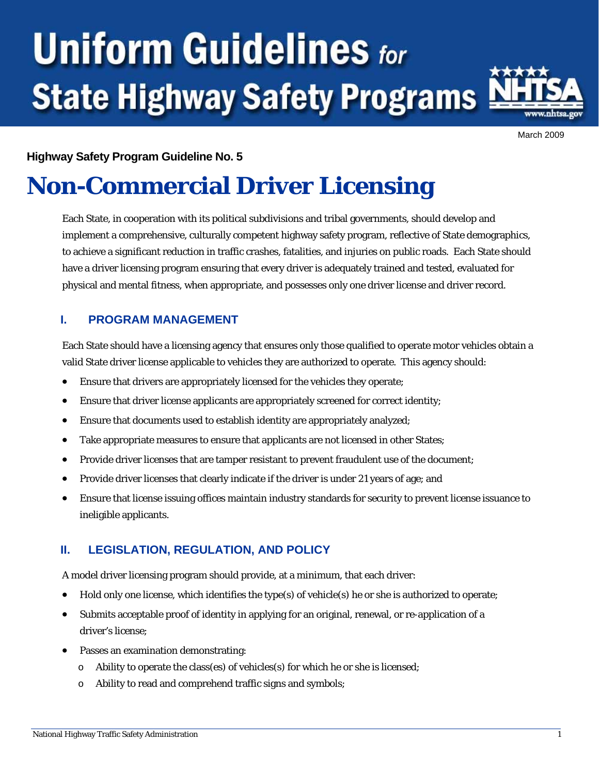# **Uniform Guidelines for State Highway Safety Programs**



March 2009

#### **Highway Safety Program Guideline No. 5**

## **Non-Commercial Driver Licensing**

Each State, in cooperation with its political subdivisions and tribal governments, should develop and implement a comprehensive, culturally competent highway safety program, reflective of State demographics, to achieve a significant reduction in traffic crashes, fatalities, and injuries on public roads. Each State should have a driver licensing program ensuring that every driver is adequately trained and tested, evaluated for physical and mental fitness, when appropriate, and possesses only one driver license and driver record.

#### **I. PROGRAM MANAGEMENT**

Each State should have a licensing agency that ensures only those qualified to operate motor vehicles obtain a valid State driver license applicable to vehicles they are authorized to operate. This agency should:

- Ensure that drivers are appropriately licensed for the vehicles they operate;
- Ensure that driver license applicants are appropriately screened for correct identity;
- Ensure that documents used to establish identity are appropriately analyzed;
- Take appropriate measures to ensure that applicants are not licensed in other States;
- Provide driver licenses that are tamper resistant to prevent fraudulent use of the document;
- Provide driver licenses that clearly indicate if the driver is under 21 years of age; and
- Ensure that license issuing offices maintain industry standards for security to prevent license issuance to ineligible applicants.

#### **II. LEGISLATION, REGULATION, AND POLICY**

A model driver licensing program should provide, at a minimum, that each driver:

- Hold only one license, which identifies the type(s) of vehicle(s) he or she is authorized to operate;
- Submits acceptable proof of identity in applying for an original, renewal, or re-application of a driver's license;
- Passes an examination demonstrating:
	- $\circ$  Ability to operate the class(es) of vehicles(s) for which he or she is licensed;
	- o Ability to read and comprehend traffic signs and symbols;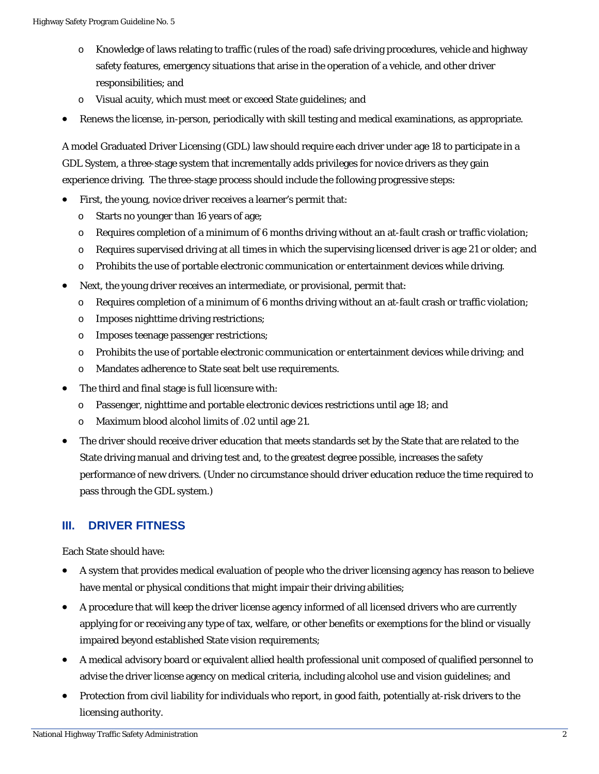- o Knowledge of laws relating to traffic (rules of the road) safe driving procedures, vehicle and highway safety features, emergency situations that arise in the operation of a vehicle, and other driver responsibilities; and
- o Visual acuity, which must meet or exceed State guidelines; and
- Renews the license, in-person, periodically with skill testing and medical examinations, as appropriate.

A model Graduated Driver Licensing (GDL) law should require each driver under age 18 to participate in a GDL System, a three-stage system that incrementally adds privileges for novice drivers as they gain experience driving. The three-stage process should include the following progressive steps:

- First, the young, novice driver receives a learner's permit that:
	- o Starts no younger than 16 years of age;
	- $\circ$  Requires completion of a minimum of 6 months driving without an at-fault crash or traffic violation;
	- o Requires supervised driving at all times in which the supervising licensed driver is age 21 or older; and
	- o Prohibits the use of portable electronic communication or entertainment devices while driving.
- Next, the young driver receives an intermediate, or provisional, permit that:
	- $\circ$  Requires completion of a minimum of 6 months driving without an at-fault crash or traffic violation;
	- o Imposes nighttime driving restrictions;
	- o Imposes teenage passenger restrictions;
	- o Prohibits the use of portable electronic communication or entertainment devices while driving; and
	- o Mandates adherence to State seat belt use requirements.
- The third and final stage is full licensure with:
	- o Passenger, nighttime and portable electronic devices restrictions until age 18; and
	- o Maximum blood alcohol limits of .02 until age 21.
- The driver should receive driver education that meets standards set by the State that are related to the State driving manual and driving test and, to the greatest degree possible, increases the safety performance of new drivers. (Under no circumstance should driver education reduce the time required to pass through the GDL system.)

#### **III. DRIVER FITNESS**

Each State should have:

- A system that provides medical evaluation of people who the driver licensing agency has reason to believe have mental or physical conditions that might impair their driving abilities;
- A procedure that will keep the driver license agency informed of all licensed drivers who are currently applying for or receiving any type of tax, welfare, or other benefits or exemptions for the blind or visually impaired beyond established State vision requirements;
- A medical advisory board or equivalent allied health professional unit composed of qualified personnel to advise the driver license agency on medical criteria, including alcohol use and vision guidelines; and
- Protection from civil liability for individuals who report, in good faith, potentially at-risk drivers to the licensing authority.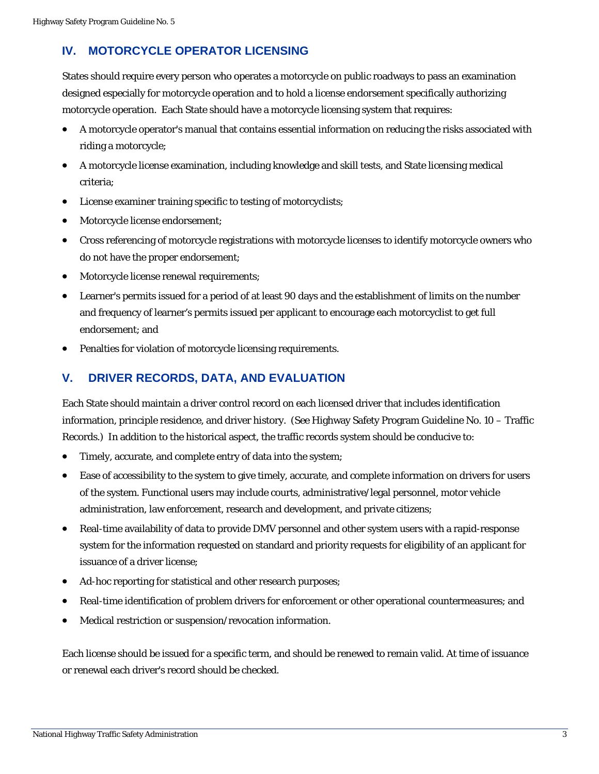### **IV. MOTORCYCLE OPERATOR LICENSING**

States should require every person who operates a motorcycle on public roadways to pass an examination designed especially for motorcycle operation and to hold a license endorsement specifically authorizing motorcycle operation. Each State should have a motorcycle licensing system that requires:

- A motorcycle operator's manual that contains essential information on reducing the risks associated with riding a motorcycle;
- A motorcycle license examination, including knowledge and skill tests, and State licensing medical criteria;
- License examiner training specific to testing of motorcyclists;
- Motorcycle license endorsement;
- Cross referencing of motorcycle registrations with motorcycle licenses to identify motorcycle owners who do not have the proper endorsement;
- Motorcycle license renewal requirements;
- Learner's permits issued for a period of at least 90 days and the establishment of limits on the number and frequency of learner's permits issued per applicant to encourage each motorcyclist to get full endorsement; and
- Penalties for violation of motorcycle licensing requirements.

#### **V. DRIVER RECORDS, DATA, AND EVALUATION**

Each State should maintain a driver control record on each licensed driver that includes identification information, principle residence, and driver history. (See Highway Safety Program Guideline No. 10 – Traffic Records.) In addition to the historical aspect, the traffic records system should be conducive to:

- Timely, accurate, and complete entry of data into the system;
- Ease of accessibility to the system to give timely, accurate, and complete information on drivers for users of the system. Functional users may include courts, administrative/legal personnel, motor vehicle administration, law enforcement, research and development, and private citizens;
- Real-time availability of data to provide DMV personnel and other system users with a rapid-response system for the information requested on standard and priority requests for eligibility of an applicant for issuance of a driver license;
- Ad-hoc reporting for statistical and other research purposes;
- Real-time identification of problem drivers for enforcement or other operational countermeasures; and
- Medical restriction or suspension/revocation information.

Each license should be issued for a specific term, and should be renewed to remain valid. At time of issuance or renewal each driver's record should be checked.